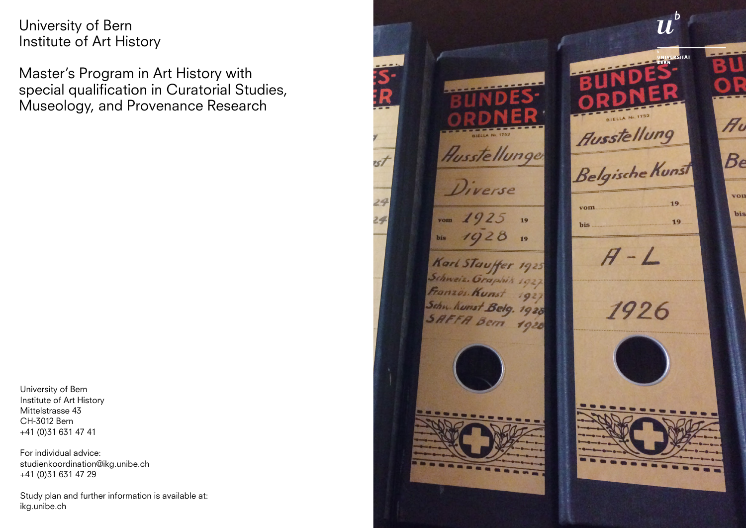University of Bern Institute of Art History

Master's Program in Art History with special qualification in Curatorial Studies, Museology, and Provenance Research

University of Bern Institute of Art History Mittelstrasse 43 CH-3012 Bern +41 (0)31 631 47 41

For individual advice: studienkoordination@ikg.unibe.ch +41 (0)31 631 47 29

Study plan and further information is available at: ikg.unibe.ch

 $\boldsymbol{u}$ Au **Ausstellung** Ausstellunger Belgische Kunst Be Diverse von 19  $v<sub>om</sub>$ bis  $v$ om  $1925$  $19$ 19 bis  $1928$ bis  $19$  $H-L$ Karl Stauffer 1925<br>Schweiz. Graphik 1927 Sameiz. Oraphis 1927<br>Französ. Kunst 1927<br>Sahn. Kunst Belg. 1928 1926

 $257$ 

29

 $24$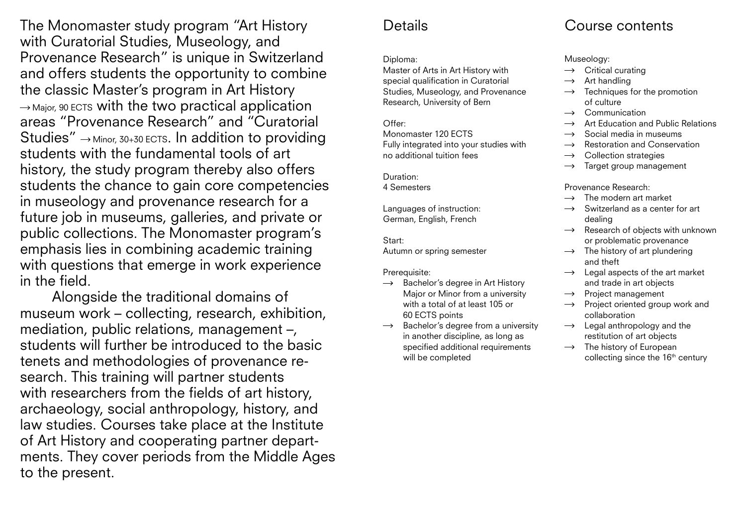The Monomaster study program "Art History with Curatorial Studies, Museology, and Provenance Research" is unique in Switzerland and offers students the opportunity to combine the classic Master's program in Art History  $\rightarrow$  Major, 90 ECTS with the two practical application areas "Provenance Research" and "Curatorial Studies"  $\rightarrow$  Minor, 30+30 ECTS. In addition to providing students with the fundamental tools of art history, the study program thereby also offers students the chance to gain core competencies in museology and provenance research for a future job in museums, galleries, and private or public collections. The Monomaster program's emphasis lies in combining academic training with questions that emerge in work experience in the field.

Alongside the traditional domains of museum work – collecting, research, exhibition, mediation, public relations, management –, students will further be introduced to the basic tenets and methodologies of provenance research. This training will partner students with researchers from the fields of art history, archaeology, social anthropology, history, and law studies. Courses take place at the Institute of Art History and cooperating partner departments. They cover periods from the Middle Ages to the present.

### **Details**

#### Diploma:

Master of Arts in Art History with special qualification in Curatorial Studies, Museology, and Provenance Research, University of Bern

Offer: Monomaster 120 ECTS Fully integrated into your studies with no additional tuition fees

Duration: 4 Semesters

Languages of instruction: German, English, French

Start: Autumn or spring semester

Prerequisite:

- $\rightarrow$ Bachelor's degree in Art History Major or Minor from a university with a total of at least 105 or 60 ECTS points
- Bachelor's degree from a university  $\rightarrow$ in another discipline, as long as specified additional requirements will be completed

## Course contents

Museology:

- Critical curating  $\rightarrow$
- Art handling
- Techniques for the promotion of culture
- Communication
- Art Education and Public Relations
- Social media in museums
- Restoration and Conservation  $\rightarrow$
- Collection strategies
- Target group management  $\rightarrow$

Provenance Research:

- The modern art market
- Switzerland as a center for art  $\rightarrow$ dealing
- Research of objects with unknown  $\rightarrow$ or problematic provenance
- $\rightarrow$  The history of art plundering and theft
- Legal aspects of the art market and trade in art objects
- Project management  $\rightarrow$
- Project oriented group work and collaboration
- $\rightarrow$  Legal anthropology and the restitution of art objects
- $\rightarrow$  The history of European collecting since the 16<sup>th</sup> century